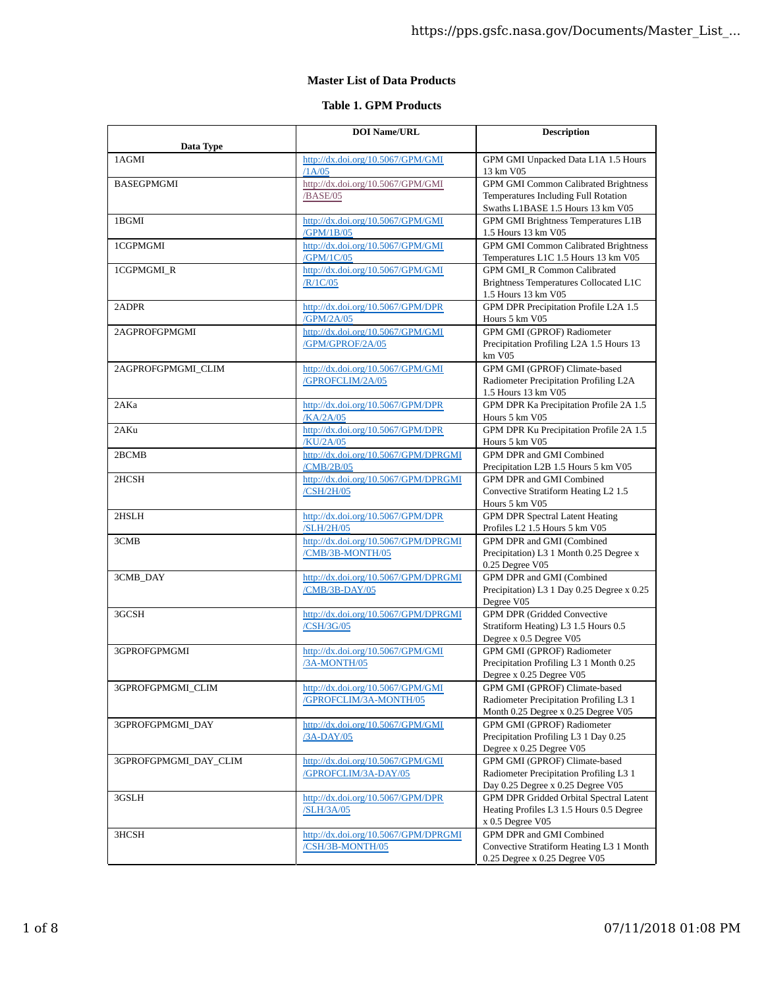## **Master List of Data Products**

## **Table 1. GPM Products**

| Data Type             | <b>DOI Name/URL</b>                                         | <b>Description</b>                                                                                                       |
|-----------------------|-------------------------------------------------------------|--------------------------------------------------------------------------------------------------------------------------|
| 1AGMI                 | http://dx.doi.org/10.5067/GPM/GMI<br>/1A/05                 | GPM GMI Unpacked Data L1A 1.5 Hours<br>13 km V05                                                                         |
| BASEGPMGMI            | http://dx.doi.org/10.5067/GPM/GMI<br>/BASE/05               | <b>GPM GMI Common Calibrated Brightness</b><br>Temperatures Including Full Rotation<br>Swaths L1BASE 1.5 Hours 13 km V05 |
| 1BGMI                 | http://dx.doi.org/10.5067/GPM/GMI<br>/GPM/1B/05             | GPM GMI Brightness Temperatures L1B<br>1.5 Hours 13 km V05                                                               |
| 1CGPMGMI              | http://dx.doi.org/10.5067/GPM/GMI<br>/GPM/1C/05             | <b>GPM GMI Common Calibrated Brightness</b><br>Temperatures L1C 1.5 Hours 13 km V05                                      |
| 1CGPMGMI_R            | http://dx.doi.org/10.5067/GPM/GMI<br>/R/1C/05               | GPM GMI R Common Calibrated<br>Brightness Temperatures Collocated L1C<br>1.5 Hours 13 km V05                             |
| 2ADPR                 | http://dx.doi.org/10.5067/GPM/DPR<br>/GPM/2A/05             | GPM DPR Precipitation Profile L2A 1.5<br>Hours 5 km V05                                                                  |
| 2AGPROFGPMGMI         | http://dx.doi.org/10.5067/GPM/GMI<br>/GPM/GPROF/2A/05       | <b>GPM GMI (GPROF) Radiometer</b><br>Precipitation Profiling L2A 1.5 Hours 13<br>km V05                                  |
| 2AGPROFGPMGMI CLIM    | http://dx.doi.org/10.5067/GPM/GMI<br>/GPROFCLIM/2A/05       | GPM GMI (GPROF) Climate-based<br>Radiometer Precipitation Profiling L2A<br>1.5 Hours 13 km V05                           |
| 2AKa                  | http://dx.doi.org/10.5067/GPM/DPR<br>/KA/2A/05              | GPM DPR Ka Precipitation Profile 2A 1.5<br>Hours 5 km V05                                                                |
| 2AKu                  | http://dx.doi.org/10.5067/GPM/DPR<br>/KU/2A/05              | GPM DPR Ku Precipitation Profile 2A 1.5<br>Hours 5 km V05                                                                |
| 2BCMB                 | http://dx.doi.org/10.5067/GPM/DPRGMI<br>/CMB/2B/05          | <b>GPM DPR and GMI Combined</b><br>Precipitation L2B 1.5 Hours 5 km V05                                                  |
| 2HCSH                 | http://dx.doi.org/10.5067/GPM/DPRGMI<br>/CSH/2H/05          | GPM DPR and GMI Combined<br>Convective Stratiform Heating L2 1.5<br>Hours 5 km V05                                       |
| 2HSLH                 | http://dx.doi.org/10.5067/GPM/DPR<br>/SLH/2H/05             | <b>GPM</b> DPR Spectral Latent Heating<br>Profiles L2 1.5 Hours 5 km V05                                                 |
| 3CMB                  | http://dx.doi.org/10.5067/GPM/DPRGMI<br>/CMB/3B-MONTH/05    | GPM DPR and GMI (Combined<br>Precipitation) L3 1 Month 0.25 Degree x<br>0.25 Degree V05                                  |
| 3CMB_DAY              | http://dx.doi.org/10.5067/GPM/DPRGMI<br>/CMB/3B-DAY/05      | GPM DPR and GMI (Combined<br>Precipitation) L3 1 Day 0.25 Degree x 0.25<br>Degree V05                                    |
| 3GCSH                 | http://dx.doi.org/10.5067/GPM/DPRGMI<br>/CSH/3G/05          | <b>GPM DPR (Gridded Convective</b><br>Stratiform Heating) L3 1.5 Hours 0.5<br>Degree x 0.5 Degree V05                    |
| 3GPROFGPMGMI          | http://dx.doi.org/10.5067/GPM/GMI<br>/3A-MONTH/05           | <b>GPM GMI (GPROF) Radiometer</b><br>Precipitation Profiling L3 1 Month 0.25<br>Degree x 0.25 Degree V05                 |
| 3GPROFGPMGMI_CLIM     | http://dx.doi.org/10.5067/GPM/GMI<br>/GPROFCLIM/3A-MONTH/05 | GPM GMI (GPROF) Climate-based<br>Radiometer Precipitation Profiling L3 1<br>Month 0.25 Degree x 0.25 Degree V05          |
| 3GPROFGPMGMI_DAY      | http://dx.doi.org/10.5067/GPM/GMI<br>/3A-DAY/05             | GPM GMI (GPROF) Radiometer<br>Precipitation Profiling L3 1 Day 0.25<br>Degree x 0.25 Degree V05                          |
| 3GPROFGPMGMI_DAY_CLIM | http://dx.doi.org/10.5067/GPM/GMI<br>/GPROFCLIM/3A-DAY/05   | GPM GMI (GPROF) Climate-based<br>Radiometer Precipitation Profiling L3 1<br>Day 0.25 Degree x 0.25 Degree V05            |
| 3GSLH                 | http://dx.doi.org/10.5067/GPM/DPR<br>/SLH/3A/05             | GPM DPR Gridded Orbital Spectral Latent<br>Heating Profiles L3 1.5 Hours 0.5 Degree<br>x 0.5 Degree V05                  |
| 3HCSH                 | http://dx.doi.org/10.5067/GPM/DPRGMI<br>/CSH/3B-MONTH/05    | GPM DPR and GMI Combined<br>Convective Stratiform Heating L3 1 Month<br>0.25 Degree x 0.25 Degree V05                    |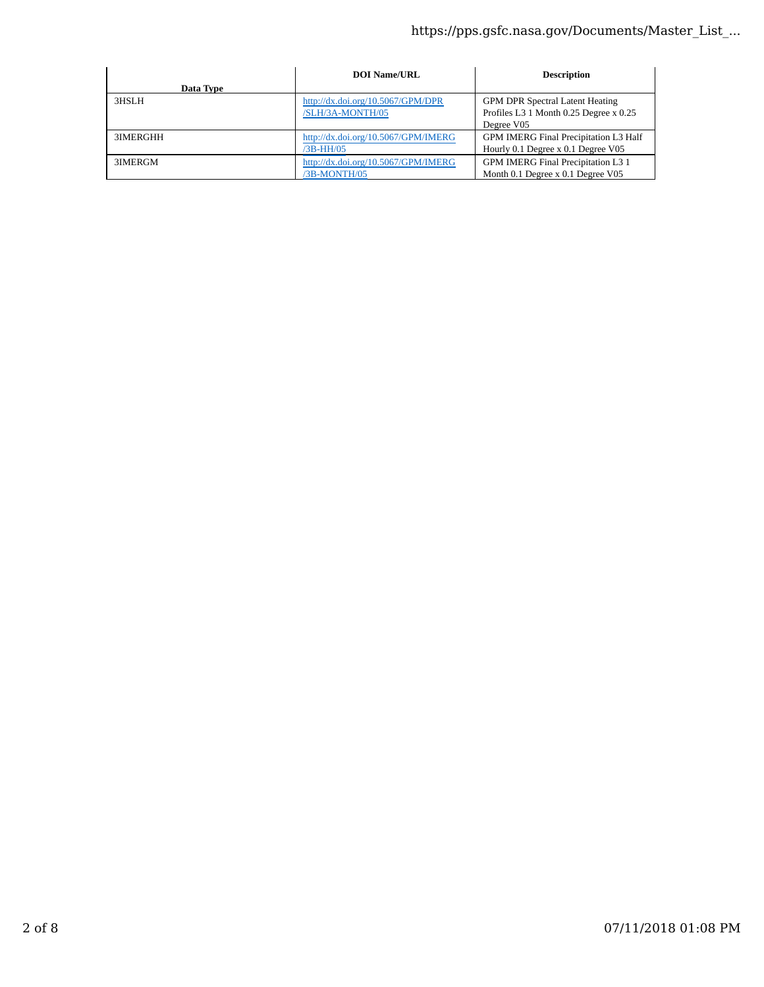|           | <b>DOI Name/URL</b>                 | <b>Description</b>                     |
|-----------|-------------------------------------|----------------------------------------|
| Data Type |                                     |                                        |
| 3HSLH     | http://dx.doi.org/10.5067/GPM/DPR   | <b>GPM DPR Spectral Latent Heating</b> |
|           | /SLH/3A-MONTH/05                    | Profiles L3 1 Month 0.25 Degree x 0.25 |
|           |                                     | Degree V05                             |
| 3IMERGHH  | http://dx.doi.org/10.5067/GPM/IMERG | GPM IMERG Final Precipitation L3 Half  |
|           | /3B-HH/05                           | Hourly 0.1 Degree x 0.1 Degree V05     |
| 3IMERGM   | http://dx.doi.org/10.5067/GPM/IMERG | GPM IMERG Final Precipitation L3 1     |
|           | /3B-MONTH/05                        | Month 0.1 Degree x 0.1 Degree V05      |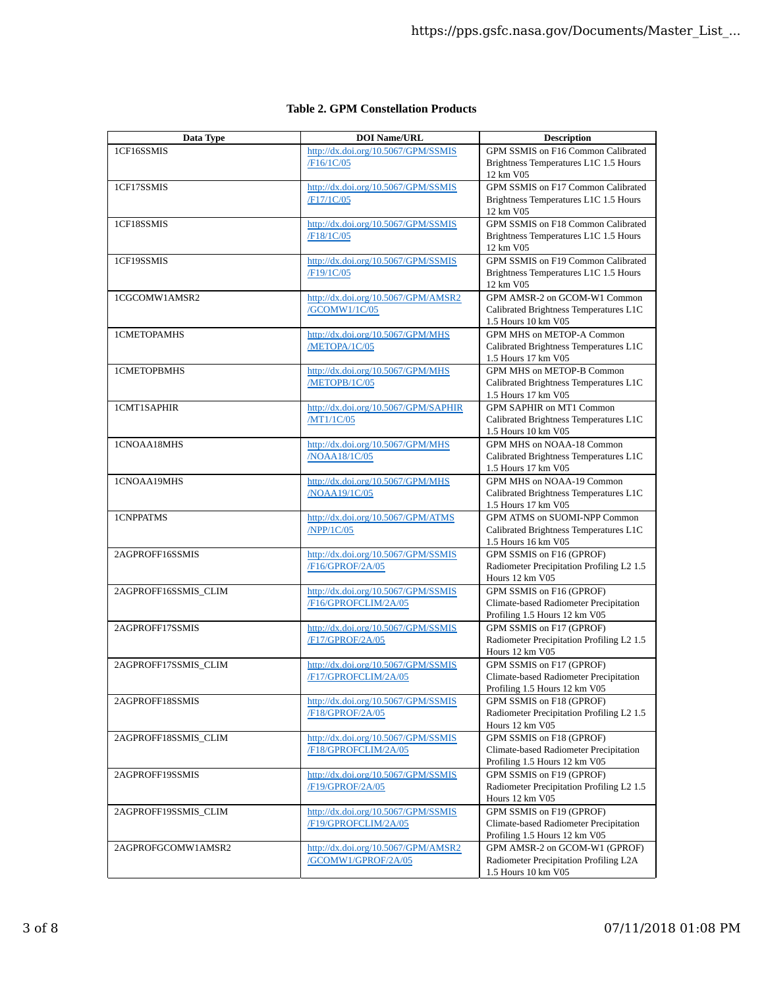| Data Type            | <b>DOI Name/URL</b>                                | <b>Description</b>                                                      |
|----------------------|----------------------------------------------------|-------------------------------------------------------------------------|
| 1CF16SSMIS           | http://dx.doi.org/10.5067/GPM/SSMIS                | GPM SSMIS on F16 Common Calibrated                                      |
|                      | /F16/1C/05                                         | Brightness Temperatures L1C 1.5 Hours                                   |
|                      |                                                    | 12 km V05                                                               |
| 1CF17SSMIS           | http://dx.doi.org/10.5067/GPM/SSMIS                | GPM SSMIS on F17 Common Calibrated                                      |
|                      | /F17/1C/05                                         | Brightness Temperatures L1C 1.5 Hours                                   |
|                      |                                                    | 12 km V05                                                               |
| 1CF18SSMIS           | http://dx.doi.org/10.5067/GPM/SSMIS                | GPM SSMIS on F18 Common Calibrated                                      |
|                      | /F18/1C/05                                         | Brightness Temperatures L1C 1.5 Hours                                   |
|                      |                                                    | 12 km V05                                                               |
| 1CF19SSMIS           | http://dx.doi.org/10.5067/GPM/SSMIS                | GPM SSMIS on F19 Common Calibrated                                      |
|                      | /F19/1C/05                                         | Brightness Temperatures L1C 1.5 Hours                                   |
|                      |                                                    | 12 km V05                                                               |
| 1CGCOMW1AMSR2        | http://dx.doi.org/10.5067/GPM/AMSR2                | GPM AMSR-2 on GCOM-W1 Common                                            |
|                      | /GCOMW1/1C/05                                      | Calibrated Brightness Temperatures L1C                                  |
|                      |                                                    | 1.5 Hours 10 km V05<br>GPM MHS on METOP-A Common                        |
| 1CMETOPAMHS          | http://dx.doi.org/10.5067/GPM/MHS<br>/METOPA/1C/05 | Calibrated Brightness Temperatures L1C                                  |
|                      |                                                    | 1.5 Hours 17 km V05                                                     |
| 1CMETOPBMHS          | http://dx.doi.org/10.5067/GPM/MHS                  | GPM MHS on METOP-B Common                                               |
|                      | /METOPB/1C/05                                      | Calibrated Brightness Temperatures L1C                                  |
|                      |                                                    | 1.5 Hours 17 km V05                                                     |
| 1CMT1SAPHIR          | http://dx.doi.org/10.5067/GPM/SAPHIR               | GPM SAPHIR on MT1 Common                                                |
|                      | /MT1/1C/05                                         | Calibrated Brightness Temperatures L1C                                  |
|                      |                                                    | 1.5 Hours 10 km V05                                                     |
| 1CNOAA18MHS          | http://dx.doi.org/10.5067/GPM/MHS                  | GPM MHS on NOAA-18 Common                                               |
|                      | /NOAA18/1C/05                                      | Calibrated Brightness Temperatures L1C                                  |
|                      |                                                    | 1.5 Hours 17 km V05                                                     |
| 1CNOAA19MHS          | http://dx.doi.org/10.5067/GPM/MHS                  | GPM MHS on NOAA-19 Common                                               |
|                      | /NOAA19/1C/05                                      | Calibrated Brightness Temperatures L1C                                  |
|                      |                                                    | 1.5 Hours 17 km V05                                                     |
| 1CNPPATMS            | http://dx.doi.org/10.5067/GPM/ATMS                 | GPM ATMS on SUOMI-NPP Common                                            |
|                      | /NPP/1C/05                                         | Calibrated Brightness Temperatures L1C                                  |
|                      |                                                    | 1.5 Hours 16 km V05                                                     |
| 2AGPROFF16SSMIS      | http://dx.doi.org/10.5067/GPM/SSMIS                | GPM SSMIS on F16 (GPROF)                                                |
|                      | <b>F16/GPROF/2A/05</b>                             | Radiometer Precipitation Profiling L2 1.5                               |
|                      |                                                    | Hours 12 km V05                                                         |
| 2AGPROFF16SSMIS_CLIM | http://dx.doi.org/10.5067/GPM/SSMIS                | GPM SSMIS on F16 (GPROF)                                                |
|                      | /F16/GPROFCLIM/2A/05                               | Climate-based Radiometer Precipitation<br>Profiling 1.5 Hours 12 km V05 |
| 2AGPROFF17SSMIS      | http://dx.doi.org/10.5067/GPM/SSMIS                | GPM SSMIS on F17 (GPROF)                                                |
|                      | /F17/GPROF/2A/05                                   | Radiometer Precipitation Profiling L2 1.5                               |
|                      |                                                    | Hours 12 km V05                                                         |
| 2AGPROFF17SSMIS_CLIM | http://dx.doi.org/10.5067/GPM/SSMIS                | GPM SSMIS on F17 (GPROF)                                                |
|                      | /F17/GPROFCLIM/2A/05                               | Climate-based Radiometer Precipitation                                  |
|                      |                                                    | Profiling 1.5 Hours 12 km V05                                           |
| 2AGPROFF18SSMIS      | http://dx.doi.org/10.5067/GPM/SSMIS                | GPM SSMIS on F18 (GPROF)                                                |
|                      | /F18/GPROF/2A/05                                   | Radiometer Precipitation Profiling L2 1.5                               |
|                      |                                                    | Hours 12 km V05                                                         |
| 2AGPROFF18SSMIS_CLIM | http://dx.doi.org/10.5067/GPM/SSMIS                | GPM SSMIS on F18 (GPROF)                                                |
|                      | /F18/GPROFCLIM/2A/05                               | Climate-based Radiometer Precipitation                                  |
|                      |                                                    | Profiling 1.5 Hours 12 km V05                                           |
| 2AGPROFF19SSMIS      | http://dx.doi.org/10.5067/GPM/SSMIS                | GPM SSMIS on F19 (GPROF)                                                |
|                      | /F19/GPROF/2A/05                                   | Radiometer Precipitation Profiling L2 1.5                               |
|                      |                                                    | Hours 12 km V05                                                         |
| 2AGPROFF19SSMIS_CLIM | http://dx.doi.org/10.5067/GPM/SSMIS                | GPM SSMIS on F19 (GPROF)                                                |
|                      | /F19/GPROFCLIM/2A/05                               | Climate-based Radiometer Precipitation                                  |
|                      | http://dx.doi.org/10.5067/GPM/AMSR2                | Profiling 1.5 Hours 12 km V05<br>GPM AMSR-2 on GCOM-W1 (GPROF)          |
| 2AGPROFGCOMW1AMSR2   | /GCOMW1/GPROF/2A/05                                | Radiometer Precipitation Profiling L2A                                  |
|                      |                                                    | 1.5 Hours 10 km V05                                                     |
|                      |                                                    |                                                                         |

## **Table 2. GPM Constellation Products**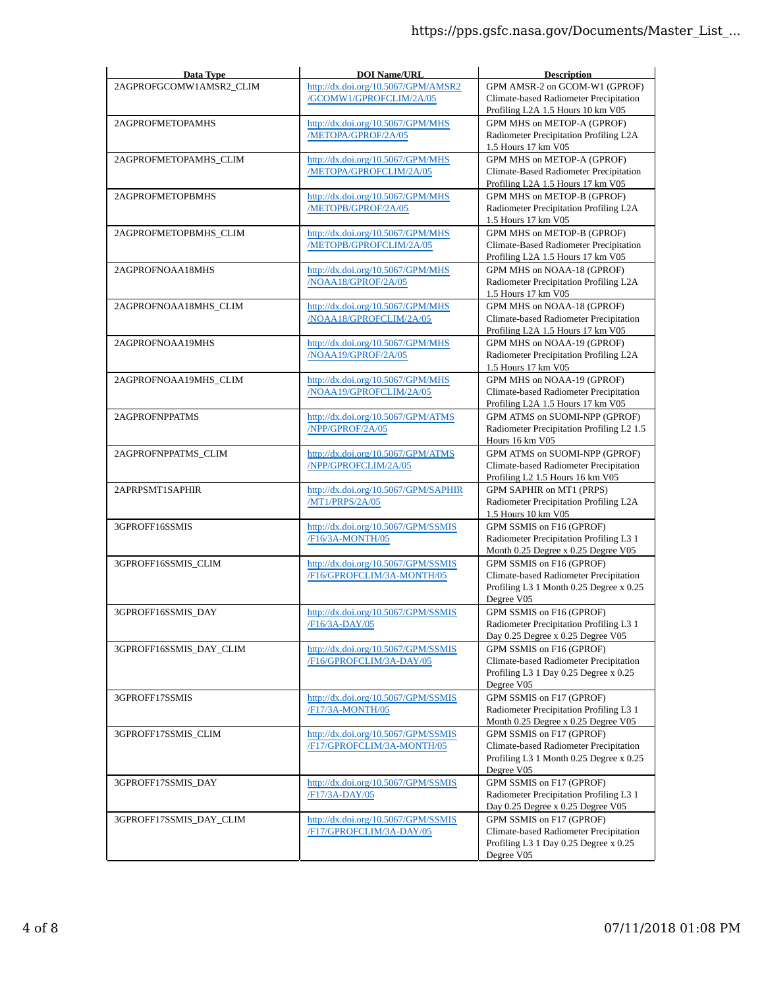| Data Type               | <b>DOI Name/URL</b>                                     | <b>Description</b>                                                  |
|-------------------------|---------------------------------------------------------|---------------------------------------------------------------------|
| 2AGPROFGCOMW1AMSR2_CLIM | http://dx.doi.org/10.5067/GPM/AMSR2                     | GPM AMSR-2 on GCOM-W1 (GPROF)                                       |
|                         | /GCOMW1/GPROFCLIM/2A/05                                 | Climate-based Radiometer Precipitation                              |
|                         |                                                         | Profiling L2A 1.5 Hours 10 km V05                                   |
| 2AGPROFMETOPAMHS        | http://dx.doi.org/10.5067/GPM/MHS                       | GPM MHS on METOP-A (GPROF)                                          |
|                         | /METOPA/GPROF/2A/05                                     | Radiometer Precipitation Profiling L2A                              |
|                         |                                                         | 1.5 Hours 17 km V05                                                 |
| 2AGPROFMETOPAMHS_CLIM   | http://dx.doi.org/10.5067/GPM/MHS                       | GPM MHS on METOP-A (GPROF)                                          |
|                         | /METOPA/GPROFCLIM/2A/05                                 | Climate-Based Radiometer Precipitation                              |
|                         |                                                         | Profiling L2A 1.5 Hours 17 km V05                                   |
| 2AGPROFMETOPBMHS        | http://dx.doi.org/10.5067/GPM/MHS                       | GPM MHS on METOP-B (GPROF)                                          |
|                         | /METOPB/GPROF/2A/05                                     | Radiometer Precipitation Profiling L2A<br>1.5 Hours 17 km V05       |
| 2AGPROFMETOPBMHS_CLIM   | http://dx.doi.org/10.5067/GPM/MHS                       | GPM MHS on METOP-B (GPROF)                                          |
|                         | /METOPB/GPROFCLIM/2A/05                                 | Climate-Based Radiometer Precipitation                              |
|                         |                                                         | Profiling L2A 1.5 Hours 17 km V05                                   |
| 2AGPROFNOAA18MHS        | http://dx.doi.org/10.5067/GPM/MHS                       | GPM MHS on NOAA-18 (GPROF)                                          |
|                         | /NOAA18/GPROF/2A/05                                     | Radiometer Precipitation Profiling L2A                              |
|                         |                                                         | 1.5 Hours 17 km V05                                                 |
| 2AGPROFNOAA18MHS_CLIM   | http://dx.doi.org/10.5067/GPM/MHS                       | GPM MHS on NOAA-18 (GPROF)                                          |
|                         | /NOAA18/GPROFCLIM/2A/05                                 | Climate-based Radiometer Precipitation                              |
|                         |                                                         | Profiling L2A 1.5 Hours 17 km V05                                   |
| 2AGPROFNOAA19MHS        | http://dx.doi.org/10.5067/GPM/MHS                       | GPM MHS on NOAA-19 (GPROF)                                          |
|                         | /NOAA19/GPROF/2A/05                                     | Radiometer Precipitation Profiling L2A                              |
|                         |                                                         | 1.5 Hours 17 km V05                                                 |
| 2AGPROFNOAA19MHS_CLIM   | http://dx.doi.org/10.5067/GPM/MHS                       | GPM MHS on NOAA-19 (GPROF)                                          |
|                         | /NOAA19/GPROFCLIM/2A/05                                 | Climate-based Radiometer Precipitation                              |
|                         |                                                         | Profiling L2A 1.5 Hours 17 km V05                                   |
| 2AGPROFNPPATMS          | http://dx.doi.org/10.5067/GPM/ATMS                      | GPM ATMS on SUOMI-NPP (GPROF)                                       |
|                         | /NPP/GPROF/2A/05                                        | Radiometer Precipitation Profiling L2 1.5                           |
|                         |                                                         | Hours 16 km V05                                                     |
| 2AGPROFNPPATMS_CLIM     | http://dx.doi.org/10.5067/GPM/ATMS                      | GPM ATMS on SUOMI-NPP (GPROF)                                       |
|                         | /NPP/GPROFCLIM/2A/05                                    | Climate-based Radiometer Precipitation                              |
|                         |                                                         | Profiling L2 1.5 Hours 16 km V05                                    |
| 2APRPSMT1SAPHIR         | http://dx.doi.org/10.5067/GPM/SAPHIR<br>/MT1/PRPS/2A/05 | GPM SAPHIR on MT1 (PRPS)<br>Radiometer Precipitation Profiling L2A  |
|                         |                                                         | 1.5 Hours 10 km V05                                                 |
| 3GPROFF16SSMIS          | http://dx.doi.org/10.5067/GPM/SSMIS                     | GPM SSMIS on F16 (GPROF)                                            |
|                         | /F16/3A-MONTH/05                                        | Radiometer Precipitation Profiling L3 1                             |
|                         |                                                         | Month 0.25 Degree x 0.25 Degree V05                                 |
| 3GPROFF16SSMIS_CLIM     | http://dx.doi.org/10.5067/GPM/SSMIS                     | GPM SSMIS on F16 (GPROF)                                            |
|                         | /F16/GPROFCLIM/3A-MONTH/05                              | Climate-based Radiometer Precipitation                              |
|                         |                                                         | Profiling L3 1 Month 0.25 Degree x 0.25                             |
|                         |                                                         | Degree V05                                                          |
| 3GPROFF16SSMIS_DAY      | http://dx.doi.org/10.5067/GPM/SSMIS                     | GPM SSMIS on F16 (GPROF)                                            |
|                         | F16/3A-DAY/05                                           | Radiometer Precipitation Profiling L3 1                             |
|                         |                                                         | Day 0.25 Degree x 0.25 Degree V05                                   |
| 3GPROFF16SSMIS_DAY_CLIM | http://dx.doi.org/10.5067/GPM/SSMIS                     | GPM SSMIS on F16 (GPROF)                                            |
|                         | /F16/GPROFCLIM/3A-DAY/05                                | Climate-based Radiometer Precipitation                              |
|                         |                                                         | Profiling L3 1 Day 0.25 Degree x 0.25                               |
|                         |                                                         | Degree V05                                                          |
| 3GPROFF17SSMIS          | http://dx.doi.org/10.5067/GPM/SSMIS<br>/F17/3A-MONTH/05 | GPM SSMIS on F17 (GPROF)<br>Radiometer Precipitation Profiling L3 1 |
|                         |                                                         | Month 0.25 Degree x 0.25 Degree V05                                 |
| 3GPROFF17SSMIS CLIM     | http://dx.doi.org/10.5067/GPM/SSMIS                     | GPM SSMIS on F17 (GPROF)                                            |
|                         | /F17/GPROFCLIM/3A-MONTH/05                              | Climate-based Radiometer Precipitation                              |
|                         |                                                         | Profiling L3 1 Month 0.25 Degree x 0.25                             |
|                         |                                                         | Degree V05                                                          |
| 3GPROFF17SSMIS_DAY      | http://dx.doi.org/10.5067/GPM/SSMIS                     | GPM SSMIS on F17 (GPROF)                                            |
|                         | /F17/3A-DAY/05                                          | Radiometer Precipitation Profiling L3 1                             |
|                         |                                                         | Day 0.25 Degree x 0.25 Degree V05                                   |
| 3GPROFF17SSMIS_DAY_CLIM | http://dx.doi.org/10.5067/GPM/SSMIS                     | GPM SSMIS on F17 (GPROF)                                            |
|                         | /F17/GPROFCLIM/3A-DAY/05                                | Climate-based Radiometer Precipitation                              |
|                         |                                                         | Profiling L3 1 Day 0.25 Degree x 0.25                               |
|                         |                                                         | Degree V05                                                          |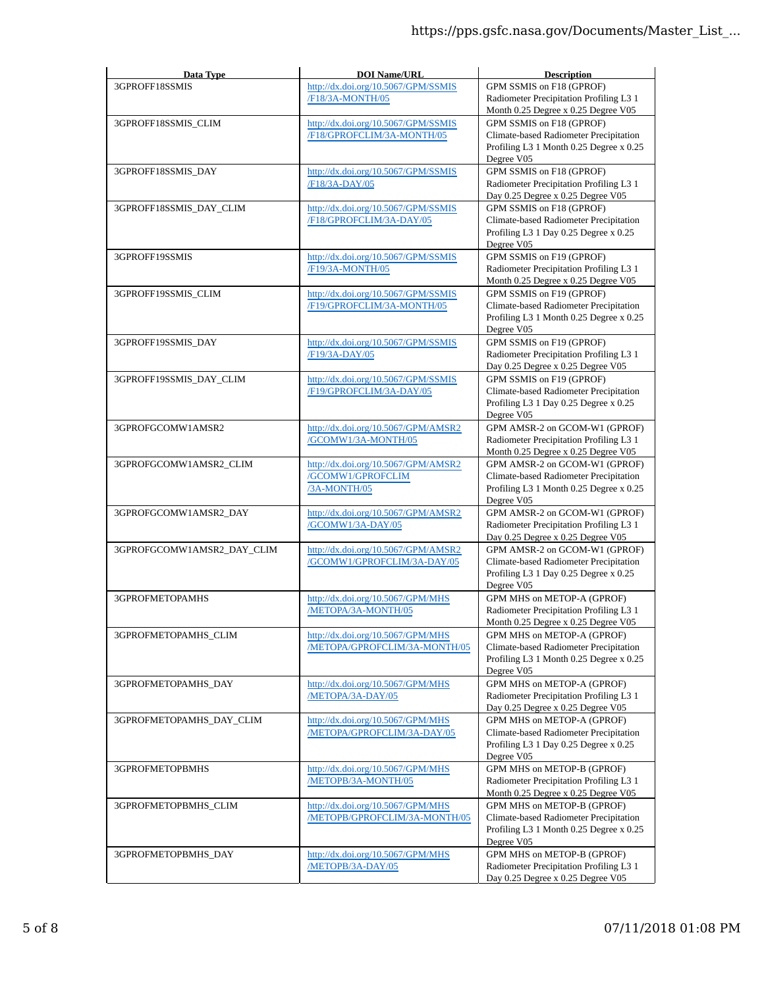| Data Type                  | <b>DOI Name/URL</b>                                                      | <b>Description</b>                                                                                                               |
|----------------------------|--------------------------------------------------------------------------|----------------------------------------------------------------------------------------------------------------------------------|
| 3GPROFF18SSMIS             | http://dx.doi.org/10.5067/GPM/SSMIS<br>/F18/3A-MONTH/05                  | GPM SSMIS on F18 (GPROF)<br>Radiometer Precipitation Profiling L3 1<br>Month 0.25 Degree x 0.25 Degree V05                       |
| 3GPROFF18SSMIS_CLIM        | http://dx.doi.org/10.5067/GPM/SSMIS<br>/F18/GPROFCLIM/3A-MONTH/05        | GPM SSMIS on F18 (GPROF)<br>Climate-based Radiometer Precipitation<br>Profiling L3 1 Month 0.25 Degree x 0.25<br>Degree V05      |
| 3GPROFF18SSMIS_DAY         | http://dx.doi.org/10.5067/GPM/SSMIS<br>/F18/3A-DAY/05                    | GPM SSMIS on F18 (GPROF)<br>Radiometer Precipitation Profiling L3 1<br>Day 0.25 Degree x 0.25 Degree V05                         |
| 3GPROFF18SSMIS_DAY_CLIM    | http://dx.doi.org/10.5067/GPM/SSMIS<br>/F18/GPROFCLIM/3A-DAY/05          | GPM SSMIS on F18 (GPROF)<br>Climate-based Radiometer Precipitation<br>Profiling L3 1 Day 0.25 Degree x 0.25<br>Degree V05        |
| 3GPROFF19SSMIS             | http://dx.doi.org/10.5067/GPM/SSMIS<br>/F19/3A-MONTH/05                  | GPM SSMIS on F19 (GPROF)<br>Radiometer Precipitation Profiling L3 1<br>Month 0.25 Degree x 0.25 Degree V05                       |
| 3GPROFF19SSMIS_CLIM        | http://dx.doi.org/10.5067/GPM/SSMIS<br>/F19/GPROFCLIM/3A-MONTH/05        | GPM SSMIS on F19 (GPROF)<br>Climate-based Radiometer Precipitation<br>Profiling L3 1 Month 0.25 Degree x 0.25<br>Degree V05      |
| 3GPROFF19SSMIS_DAY         | http://dx.doi.org/10.5067/GPM/SSMIS<br>/F19/3A-DAY/05                    | GPM SSMIS on F19 (GPROF)<br>Radiometer Precipitation Profiling L3 1<br>Day 0.25 Degree x 0.25 Degree V05                         |
| 3GPROFF19SSMIS_DAY_CLIM    | http://dx.doi.org/10.5067/GPM/SSMIS<br>/F19/GPROFCLIM/3A-DAY/05          | GPM SSMIS on F19 (GPROF)<br>Climate-based Radiometer Precipitation<br>Profiling L3 1 Day 0.25 Degree x 0.25<br>Degree V05        |
| 3GPROFGCOMW1AMSR2          | http://dx.doi.org/10.5067/GPM/AMSR2<br>/GCOMW1/3A-MONTH/05               | GPM AMSR-2 on GCOM-W1 (GPROF)<br>Radiometer Precipitation Profiling L3 1<br>Month 0.25 Degree x 0.25 Degree V05                  |
| 3GPROFGCOMW1AMSR2_CLIM     | http://dx.doi.org/10.5067/GPM/AMSR2<br>/GCOMW1/GPROFCLIM<br>/3A-MONTH/05 | GPM AMSR-2 on GCOM-W1 (GPROF)<br>Climate-based Radiometer Precipitation<br>Profiling L3 1 Month 0.25 Degree x 0.25<br>Degree V05 |
| 3GPROFGCOMW1AMSR2_DAY      | http://dx.doi.org/10.5067/GPM/AMSR2<br>/GCOMW1/3A-DAY/05                 | GPM AMSR-2 on GCOM-W1 (GPROF)<br>Radiometer Precipitation Profiling L3 1<br>Day 0.25 Degree x 0.25 Degree V05                    |
| 3GPROFGCOMW1AMSR2 DAY CLIM | http://dx.doi.org/10.5067/GPM/AMSR2<br>/GCOMW1/GPROFCLIM/3A-DAY/05       | GPM AMSR-2 on GCOM-W1 (GPROF)<br>Climate-based Radiometer Precipitation<br>Profiling L3 1 Day 0.25 Degree x 0.25<br>Degree V05   |
| 3GPROFMETOPAMHS            | http://dx.doi.org/10.5067/GPM/MHS<br>/METOPA/3A-MONTH/05                 | GPM MHS on METOP-A (GPROF)<br>Radiometer Precipitation Profiling L3 1<br>Month 0.25 Degree x 0.25 Degree V05                     |
| 3GPROFMETOPAMHS_CLIM       | http://dx.doi.org/10.5067/GPM/MHS<br>/METOPA/GPROFCLIM/3A-MONTH/05       | GPM MHS on METOP-A (GPROF)<br>Climate-based Radiometer Precipitation<br>Profiling L3 1 Month 0.25 Degree x 0.25<br>Degree V05    |
| 3GPROFMETOPAMHS_DAY        | http://dx.doi.org/10.5067/GPM/MHS<br>/METOPA/3A-DAY/05                   | GPM MHS on METOP-A (GPROF)<br>Radiometer Precipitation Profiling L3 1<br>Day 0.25 Degree x 0.25 Degree V05                       |
| 3GPROFMETOPAMHS_DAY_CLIM   | http://dx.doi.org/10.5067/GPM/MHS<br>/METOPA/GPROFCLIM/3A-DAY/05         | GPM MHS on METOP-A (GPROF)<br>Climate-based Radiometer Precipitation<br>Profiling L3 1 Day 0.25 Degree x 0.25<br>Degree V05      |
| 3GPROFMETOPBMHS            | http://dx.doi.org/10.5067/GPM/MHS<br>/METOPB/3A-MONTH/05                 | GPM MHS on METOP-B (GPROF)<br>Radiometer Precipitation Profiling L3 1<br>Month 0.25 Degree x 0.25 Degree V05                     |
| 3GPROFMETOPBMHS_CLIM       | http://dx.doi.org/10.5067/GPM/MHS<br>/METOPB/GPROFCLIM/3A-MONTH/05       | GPM MHS on METOP-B (GPROF)<br>Climate-based Radiometer Precipitation<br>Profiling L3 1 Month 0.25 Degree x 0.25<br>Degree V05    |
| 3GPROFMETOPBMHS_DAY        | http://dx.doi.org/10.5067/GPM/MHS<br>/METOPB/3A-DAY/05                   | GPM MHS on METOP-B (GPROF)<br>Radiometer Precipitation Profiling L3 1<br>Day 0.25 Degree x 0.25 Degree V05                       |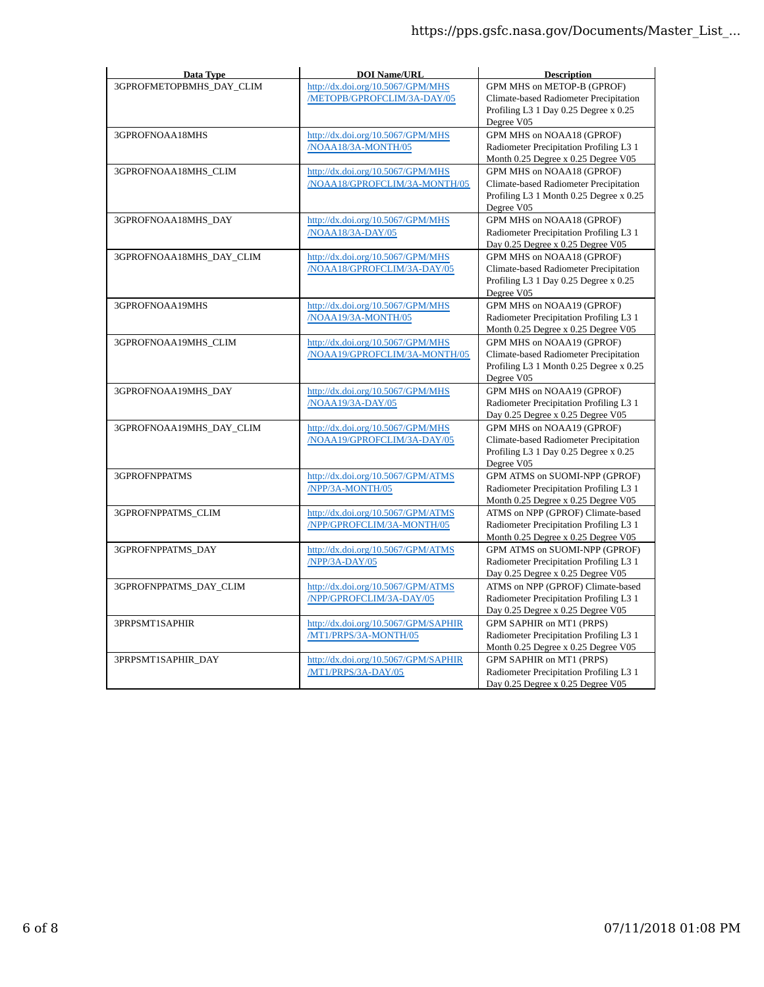| Data Type                | <b>DOI Name/URL</b>                                                | <b>Description</b>                                                                                                           |
|--------------------------|--------------------------------------------------------------------|------------------------------------------------------------------------------------------------------------------------------|
| 3GPROFMETOPBMHS DAY CLIM | http://dx.doi.org/10.5067/GPM/MHS<br>/METOPB/GPROFCLIM/3A-DAY/05   | GPM MHS on METOP-B (GPROF)<br>Climate-based Radiometer Precipitation<br>Profiling L3 1 Day 0.25 Degree x 0.25<br>Degree V05  |
| 3GPROFNOAA18MHS          | http://dx.doi.org/10.5067/GPM/MHS<br>/NOAA18/3A-MONTH/05           | GPM MHS on NOAA18 (GPROF)<br>Radiometer Precipitation Profiling L3 1<br>Month 0.25 Degree x 0.25 Degree V05                  |
| 3GPROFNOAA18MHS_CLIM     | http://dx.doi.org/10.5067/GPM/MHS<br>/NOAA18/GPROFCLIM/3A-MONTH/05 | GPM MHS on NOAA18 (GPROF)<br>Climate-based Radiometer Precipitation<br>Profiling L3 1 Month 0.25 Degree x 0.25<br>Degree V05 |
| 3GPROFNOAA18MHS_DAY      | http://dx.doi.org/10.5067/GPM/MHS<br>/NOAA18/3A-DAY/05             | GPM MHS on NOAA18 (GPROF)<br>Radiometer Precipitation Profiling L3 1<br>Day 0.25 Degree x 0.25 Degree V05                    |
| 3GPROFNOAA18MHS_DAY_CLIM | http://dx.doi.org/10.5067/GPM/MHS<br>/NOAA18/GPROFCLIM/3A-DAY/05   | GPM MHS on NOAA18 (GPROF)<br>Climate-based Radiometer Precipitation<br>Profiling L3 1 Day 0.25 Degree x 0.25<br>Degree V05   |
| 3GPROFNOAA19MHS          | http://dx.doi.org/10.5067/GPM/MHS<br>/NOAA19/3A-MONTH/05           | GPM MHS on NOAA19 (GPROF)<br>Radiometer Precipitation Profiling L3 1<br>Month 0.25 Degree x 0.25 Degree V05                  |
| 3GPROFNOAA19MHS_CLIM     | http://dx.doi.org/10.5067/GPM/MHS<br>/NOAA19/GPROFCLIM/3A-MONTH/05 | GPM MHS on NOAA19 (GPROF)<br>Climate-based Radiometer Precipitation<br>Profiling L3 1 Month 0.25 Degree x 0.25<br>Degree V05 |
| 3GPROFNOAA19MHS_DAY      | http://dx.doi.org/10.5067/GPM/MHS<br>/NOAA19/3A-DAY/05             | GPM MHS on NOAA19 (GPROF)<br>Radiometer Precipitation Profiling L3 1<br>Day 0.25 Degree x 0.25 Degree V05                    |
| 3GPROFNOAA19MHS_DAY_CLIM | http://dx.doi.org/10.5067/GPM/MHS<br>/NOAA19/GPROFCLIM/3A-DAY/05   | GPM MHS on NOAA19 (GPROF)<br>Climate-based Radiometer Precipitation<br>Profiling L3 1 Day 0.25 Degree x 0.25<br>Degree V05   |
| <b>3GPROFNPPATMS</b>     | http://dx.doi.org/10.5067/GPM/ATMS<br>/NPP/3A-MONTH/05             | GPM ATMS on SUOMI-NPP (GPROF)<br>Radiometer Precipitation Profiling L3 1<br>Month 0.25 Degree x 0.25 Degree V05              |
| 3GPROFNPPATMS_CLIM       | http://dx.doi.org/10.5067/GPM/ATMS<br>/NPP/GPROFCLIM/3A-MONTH/05   | ATMS on NPP (GPROF) Climate-based<br>Radiometer Precipitation Profiling L3 1<br>Month 0.25 Degree x 0.25 Degree V05          |
| 3GPROFNPPATMS DAY        | http://dx.doi.org/10.5067/GPM/ATMS<br>/NPP/3A-DAY/05               | GPM ATMS on SUOMI-NPP (GPROF)<br>Radiometer Precipitation Profiling L3 1<br>Day 0.25 Degree x 0.25 Degree V05                |
| 3GPROFNPPATMS_DAY_CLIM   | http://dx.doi.org/10.5067/GPM/ATMS<br>/NPP/GPROFCLIM/3A-DAY/05     | ATMS on NPP (GPROF) Climate-based<br>Radiometer Precipitation Profiling L3 1<br>Day 0.25 Degree x 0.25 Degree V05            |
| 3PRPSMT1SAPHIR           | http://dx.doi.org/10.5067/GPM/SAPHIR<br>/MT1/PRPS/3A-MONTH/05      | GPM SAPHIR on MT1 (PRPS)<br>Radiometer Precipitation Profiling L3 1<br>Month 0.25 Degree x 0.25 Degree V05                   |
| 3PRPSMT1SAPHIR_DAY       | http://dx.doi.org/10.5067/GPM/SAPHIR<br>/MT1/PRPS/3A-DAY/05        | GPM SAPHIR on MT1 (PRPS)<br>Radiometer Precipitation Profiling L3 1<br>Day 0.25 Degree x 0.25 Degree V05                     |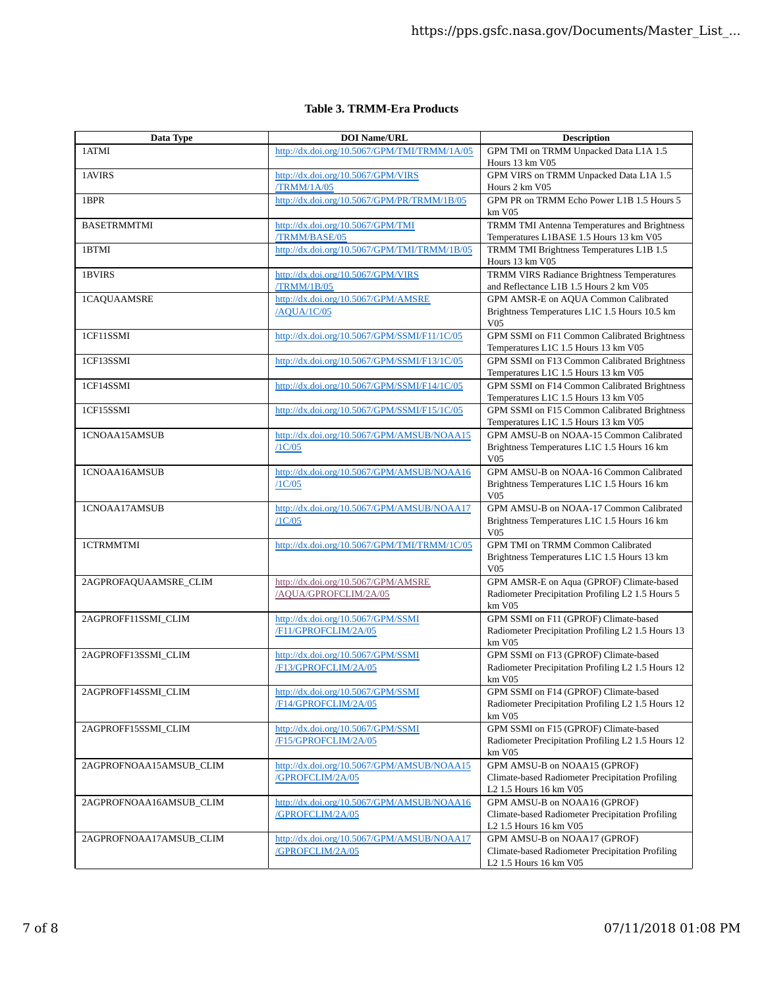## **Table 3. TRMM-Era Products**

| Data Type               | <b>DOI Name/URL</b>                                            | <b>Description</b>                                                                                         |
|-------------------------|----------------------------------------------------------------|------------------------------------------------------------------------------------------------------------|
| 1ATMI                   | http://dx.doi.org/10.5067/GPM/TMI/TRMM/1A/05                   | GPM TMI on TRMM Unpacked Data L1A 1.5<br>Hours 13 km V05                                                   |
| 1AVIRS                  | http://dx.doi.org/10.5067/GPM/VIRS<br><b>TRMM/1A/05</b>        | GPM VIRS on TRMM Unpacked Data L1A 1.5<br>Hours 2 km V05                                                   |
| 1BPR                    | http://dx.doi.org/10.5067/GPM/PR/TRMM/1B/05                    | GPM PR on TRMM Echo Power L1B 1.5 Hours 5<br>km V05                                                        |
| <b>BASETRMMTMI</b>      | http://dx.doi.org/10.5067/GPM/TMI<br>/TRMM/BASE/05             | TRMM TMI Antenna Temperatures and Brightness<br>Temperatures L1BASE 1.5 Hours 13 km V05                    |
| 1BTMI                   | http://dx.doi.org/10.5067/GPM/TMI/TRMM/1B/05                   | TRMM TMI Brightness Temperatures L1B 1.5<br>Hours 13 km V05                                                |
| 1BVIRS                  | http://dx.doi.org/10.5067/GPM/VIRS<br>/TRMM/1B/05              | TRMM VIRS Radiance Brightness Temperatures<br>and Reflectance L1B 1.5 Hours 2 km V05                       |
| 1CAQUAAMSRE             | http://dx.doi.org/10.5067/GPM/AMSRE<br>/AQUA/1C/05             | GPM AMSR-E on AQUA Common Calibrated<br>Brightness Temperatures L1C 1.5 Hours 10.5 km<br><b>V05</b>        |
| 1CF11SSMI               | http://dx.doi.org/10.5067/GPM/SSMI/F11/1C/05                   | GPM SSMI on F11 Common Calibrated Brightness<br>Temperatures L1C 1.5 Hours 13 km V05                       |
| 1CF13SSMI               | http://dx.doi.org/10.5067/GPM/SSMI/F13/1C/05                   | GPM SSMI on F13 Common Calibrated Brightness<br>Temperatures L1C 1.5 Hours 13 km V05                       |
| 1CF14SSMI               | http://dx.doi.org/10.5067/GPM/SSMI/F14/1C/05                   | GPM SSMI on F14 Common Calibrated Brightness<br>Temperatures L1C 1.5 Hours 13 km V05                       |
| 1CF15SSMI               | http://dx.doi.org/10.5067/GPM/SSMI/F15/1C/05                   | GPM SSMI on F15 Common Calibrated Brightness<br>Temperatures L1C 1.5 Hours 13 km V05                       |
| 1CNOAA15AMSUB           | http://dx.doi.org/10.5067/GPM/AMSUB/NOAA15<br>/1C/05           | GPM AMSU-B on NOAA-15 Common Calibrated<br>Brightness Temperatures L1C 1.5 Hours 16 km<br>V05              |
| 1CNOAA16AMSUB           | http://dx.doi.org/10.5067/GPM/AMSUB/NOAA16<br>/1C/05           | GPM AMSU-B on NOAA-16 Common Calibrated<br>Brightness Temperatures L1C 1.5 Hours 16 km<br>V05              |
| 1CNOAA17AMSUB           | http://dx.doi.org/10.5067/GPM/AMSUB/NOAA17<br>/1C/05           | GPM AMSU-B on NOAA-17 Common Calibrated<br>Brightness Temperatures L1C 1.5 Hours 16 km<br>V05              |
| 1CTRMMTMI               | http://dx.doi.org/10.5067/GPM/TMI/TRMM/1C/05                   | GPM TMI on TRMM Common Calibrated<br>Brightness Temperatures L1C 1.5 Hours 13 km<br>V05                    |
| 2AGPROFAQUAAMSRE_CLIM   | http://dx.doi.org/10.5067/GPM/AMSRE<br>/AQUA/GPROFCLIM/2A/05   | GPM AMSR-E on Aqua (GPROF) Climate-based<br>Radiometer Precipitation Profiling L2 1.5 Hours 5<br>km V05    |
| 2AGPROFF11SSMI_CLIM     | http://dx.doi.org/10.5067/GPM/SSMI<br>/F11/GPROFCLIM/2A/05     | GPM SSMI on F11 (GPROF) Climate-based<br>Radiometer Precipitation Profiling L2 1.5 Hours 13<br>km V05      |
| 2AGPROFF13SSMI_CLIM     | http://dx.doi.org/10.5067/GPM/SSMI<br>/F13/GPROFCLIM/2A/05     | GPM SSMI on F13 (GPROF) Climate-based<br>Radiometer Precipitation Profiling L2 1.5 Hours 12<br>km V05      |
| 2AGPROFF14SSMI_CLIM     | http://dx.doi.org/10.5067/GPM/SSMI<br>/F14/GPROFCLIM/2A/05     | GPM SSMI on F14 (GPROF) Climate-based<br>Radiometer Precipitation Profiling L2 1.5 Hours 12<br>km V05      |
| 2AGPROFF15SSMI_CLIM     | http://dx.doi.org/10.5067/GPM/SSMI<br>/F15/GPROFCLIM/2A/05     | GPM SSMI on F15 (GPROF) Climate-based<br>Radiometer Precipitation Profiling L2 1.5 Hours 12<br>km V05      |
| 2AGPROFNOAA15AMSUB_CLIM | http://dx.doi.org/10.5067/GPM/AMSUB/NOAA15<br>/GPROFCLIM/2A/05 | GPM AMSU-B on NOAA15 (GPROF)<br>Climate-based Radiometer Precipitation Profiling<br>L2 1.5 Hours 16 km V05 |
| 2AGPROFNOAA16AMSUB_CLIM | http://dx.doi.org/10.5067/GPM/AMSUB/NOAA16<br>/GPROFCLIM/2A/05 | GPM AMSU-B on NOAA16 (GPROF)<br>Climate-based Radiometer Precipitation Profiling<br>L2 1.5 Hours 16 km V05 |
| 2AGPROFNOAA17AMSUB_CLIM | http://dx.doi.org/10.5067/GPM/AMSUB/NOAA17<br>/GPROFCLIM/2A/05 | GPM AMSU-B on NOAA17 (GPROF)<br>Climate-based Radiometer Precipitation Profiling<br>L2 1.5 Hours 16 km V05 |